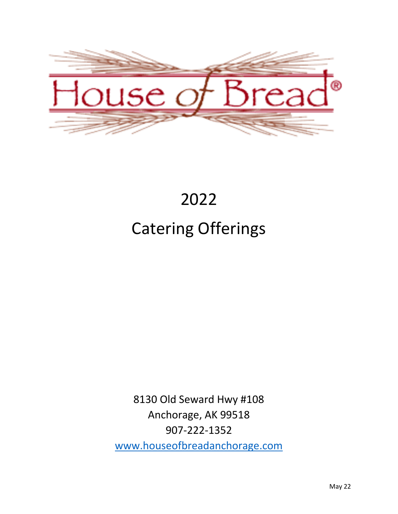

# 2022 Catering Offerings

8130 Old Seward Hwy #108 Anchorage, AK 99518 907-222-1352 [www.houseofbreadanchorage.com](http://www.houseofbreadanchorage.com/)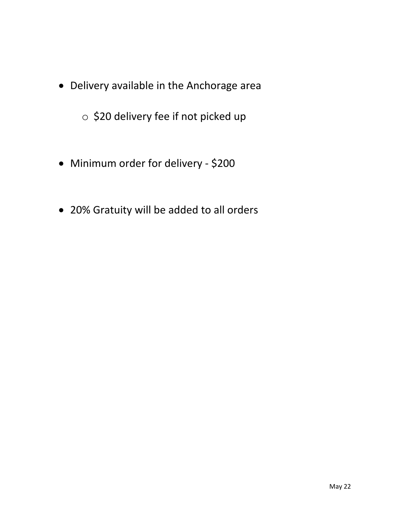• Delivery available in the Anchorage area

o \$20 delivery fee if not picked up

- Minimum order for delivery \$200
- 20% Gratuity will be added to all orders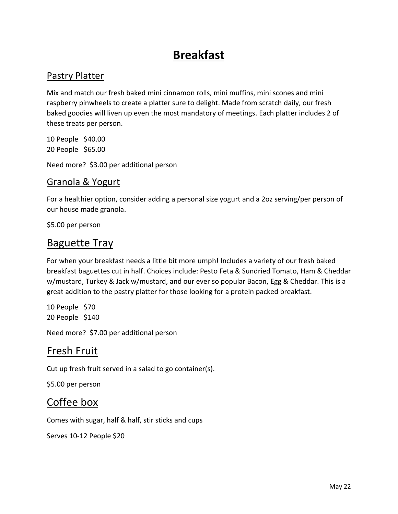# **Breakfast**

### Pastry Platter

Mix and match our fresh baked mini cinnamon rolls, mini muffins, mini scones and mini raspberry pinwheels to create a platter sure to delight. Made from scratch daily, our fresh baked goodies will liven up even the most mandatory of meetings. Each platter includes 2 of these treats per person.

10 People \$40.00 20 People \$65.00

Need more? \$3.00 per additional person

#### Granola & Yogurt

For a healthier option, consider adding a personal size yogurt and a 2oz serving/per person of our house made granola.

\$5.00 per person

### Baguette Tray

For when your breakfast needs a little bit more umph! Includes a variety of our fresh baked breakfast baguettes cut in half. Choices include: Pesto Feta & Sundried Tomato, Ham & Cheddar w/mustard, Turkey & Jack w/mustard, and our ever so popular Bacon, Egg & Cheddar. This is a great addition to the pastry platter for those looking for a protein packed breakfast.

10 People \$70 20 People \$140

Need more? \$7.00 per additional person

### Fresh Fruit

Cut up fresh fruit served in a salad to go container(s).

\$5.00 per person

### Coffee box

Comes with sugar, half & half, stir sticks and cups

Serves 10-12 People \$20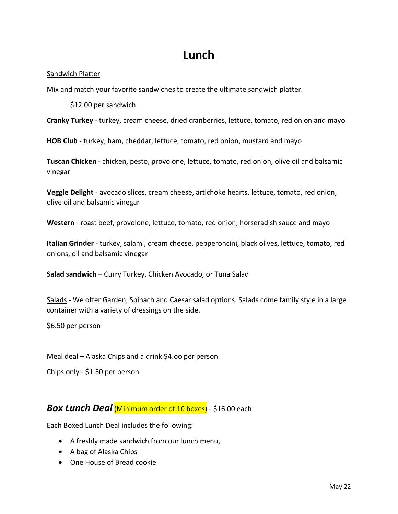# **Lunch**

#### Sandwich Platter

Mix and match your favorite sandwiches to create the ultimate sandwich platter.

\$12.00 per sandwich

**Cranky Turkey** - turkey, cream cheese, dried cranberries, lettuce, tomato, red onion and mayo

**HOB Club** - turkey, ham, cheddar, lettuce, tomato, red onion, mustard and mayo

**Tuscan Chicken** - chicken, pesto, provolone, lettuce, tomato, red onion, olive oil and balsamic vinegar

**Veggie Delight** - avocado slices, cream cheese, artichoke hearts, lettuce, tomato, red onion, olive oil and balsamic vinegar

**Western** - roast beef, provolone, lettuce, tomato, red onion, horseradish sauce and mayo

**Italian Grinder** - turkey, salami, cream cheese, pepperoncini, black olives, lettuce, tomato, red onions, oil and balsamic vinegar

**Salad sandwich** – Curry Turkey, Chicken Avocado, or Tuna Salad

Salads - We offer Garden, Spinach and Caesar salad options. Salads come family style in a large container with a variety of dressings on the side.

\$6.50 per person

Meal deal – Alaska Chips and a drink \$4.oo per person

Chips only - \$1.50 per person

#### **Box Lunch Deal (Minimum order of 10 boxes)** - \$16.00 each

Each Boxed Lunch Deal includes the following:

- A freshly made sandwich from our lunch menu,
- A bag of Alaska Chips
- One House of Bread cookie